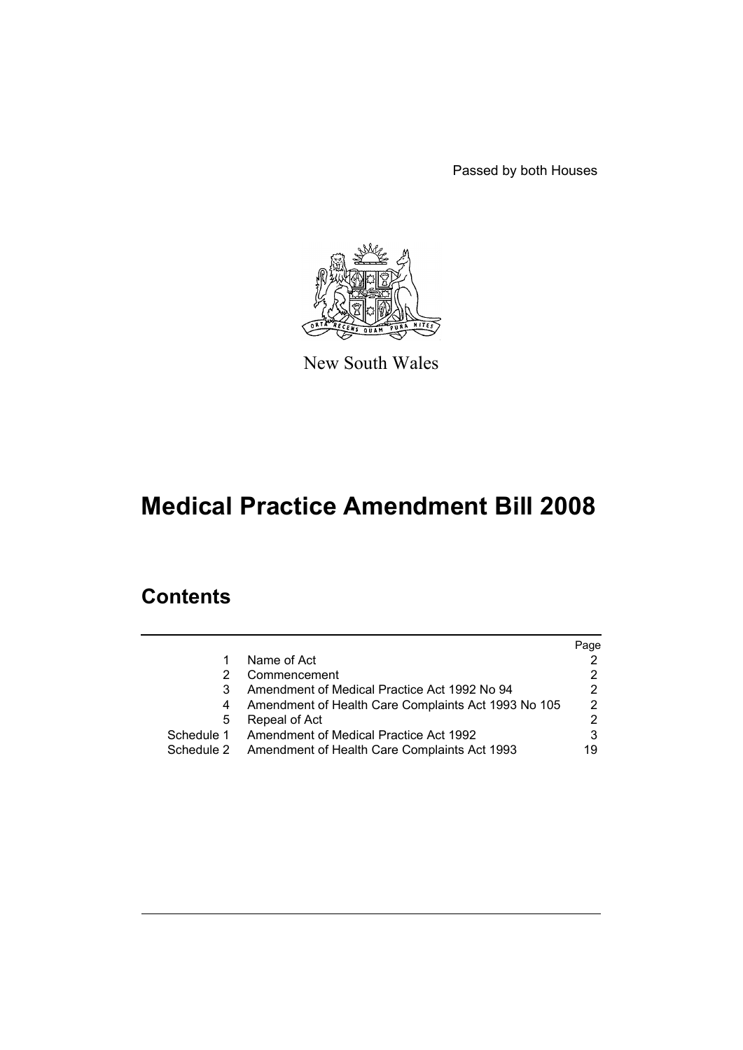Passed by both Houses



New South Wales

# **Medical Practice Amendment Bill 2008**

## **Contents**

|            |                                                     | Page          |
|------------|-----------------------------------------------------|---------------|
|            | Name of Act                                         |               |
|            | Commencement                                        | 2             |
|            | Amendment of Medical Practice Act 1992 No 94        | 2             |
|            | Amendment of Health Care Complaints Act 1993 No 105 | $\mathcal{P}$ |
| 5          | Repeal of Act                                       | 2             |
| Schedule 1 | Amendment of Medical Practice Act 1992              | 3             |
| Schedule 2 | Amendment of Health Care Complaints Act 1993        | 19            |
|            |                                                     |               |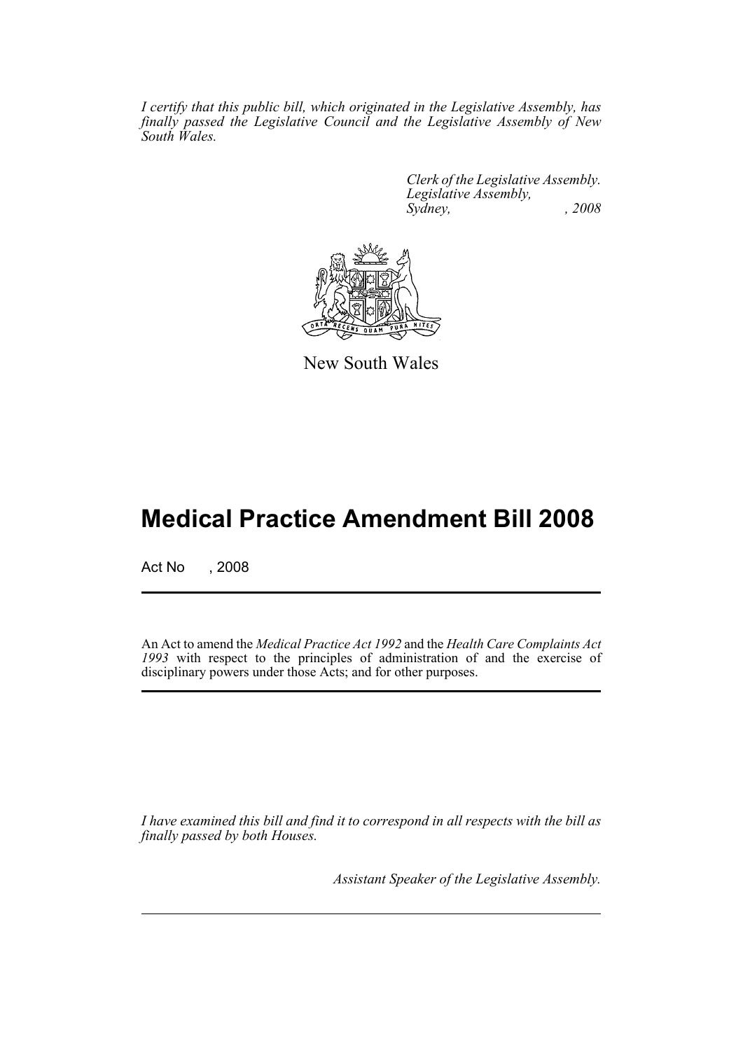*I certify that this public bill, which originated in the Legislative Assembly, has finally passed the Legislative Council and the Legislative Assembly of New South Wales.*

> *Clerk of the Legislative Assembly. Legislative Assembly, Sydney, , 2008*



New South Wales

## **Medical Practice Amendment Bill 2008**

Act No , 2008

An Act to amend the *Medical Practice Act 1992* and the *Health Care Complaints Act 1993* with respect to the principles of administration of and the exercise of disciplinary powers under those Acts; and for other purposes.

*I have examined this bill and find it to correspond in all respects with the bill as finally passed by both Houses.*

*Assistant Speaker of the Legislative Assembly.*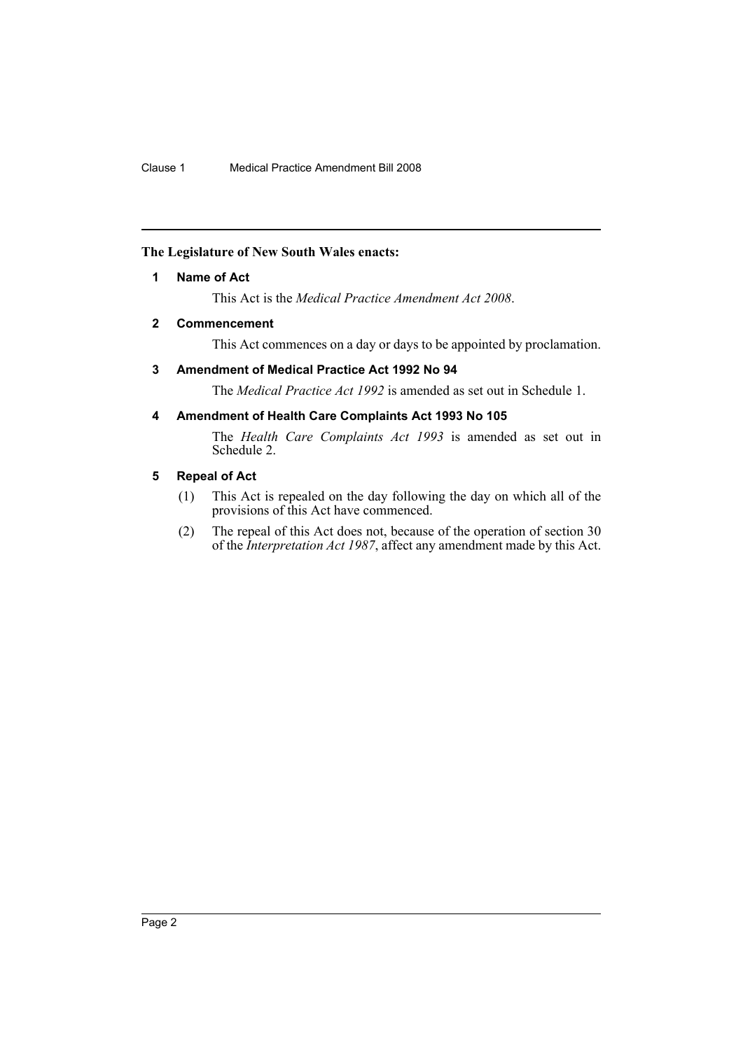### <span id="page-2-0"></span>**The Legislature of New South Wales enacts:**

### **1 Name of Act**

This Act is the *Medical Practice Amendment Act 2008*.

### <span id="page-2-1"></span>**2 Commencement**

This Act commences on a day or days to be appointed by proclamation.

### <span id="page-2-2"></span>**3 Amendment of Medical Practice Act 1992 No 94**

The *Medical Practice Act 1992* is amended as set out in Schedule 1.

### <span id="page-2-3"></span>**4 Amendment of Health Care Complaints Act 1993 No 105**

The *Health Care Complaints Act 1993* is amended as set out in Schedule 2.

### <span id="page-2-4"></span>**5 Repeal of Act**

- (1) This Act is repealed on the day following the day on which all of the provisions of this Act have commenced.
- (2) The repeal of this Act does not, because of the operation of section 30 of the *Interpretation Act 1987*, affect any amendment made by this Act.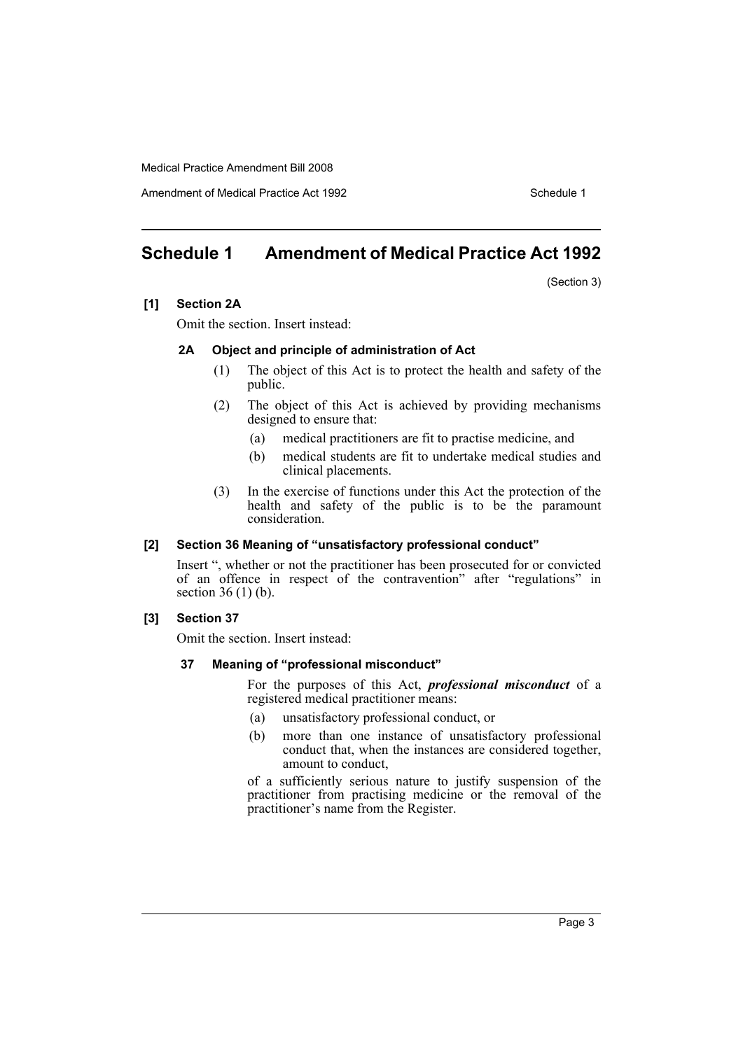Amendment of Medical Practice Act 1992 Schedule 1

### <span id="page-3-0"></span>**Schedule 1 Amendment of Medical Practice Act 1992**

(Section 3)

### **[1] Section 2A**

Omit the section. Insert instead:

### **2A Object and principle of administration of Act**

- (1) The object of this Act is to protect the health and safety of the public.
- (2) The object of this Act is achieved by providing mechanisms designed to ensure that:
	- (a) medical practitioners are fit to practise medicine, and
	- (b) medical students are fit to undertake medical studies and clinical placements.
- (3) In the exercise of functions under this Act the protection of the health and safety of the public is to be the paramount consideration.

### **[2] Section 36 Meaning of "unsatisfactory professional conduct"**

Insert ", whether or not the practitioner has been prosecuted for or convicted of an offence in respect of the contravention" after "regulations" in section 36 (1) (b).

### **[3] Section 37**

Omit the section. Insert instead:

### **37 Meaning of "professional misconduct"**

For the purposes of this Act, *professional misconduct* of a registered medical practitioner means:

- (a) unsatisfactory professional conduct, or
- (b) more than one instance of unsatisfactory professional conduct that, when the instances are considered together, amount to conduct,

of a sufficiently serious nature to justify suspension of the practitioner from practising medicine or the removal of the practitioner's name from the Register.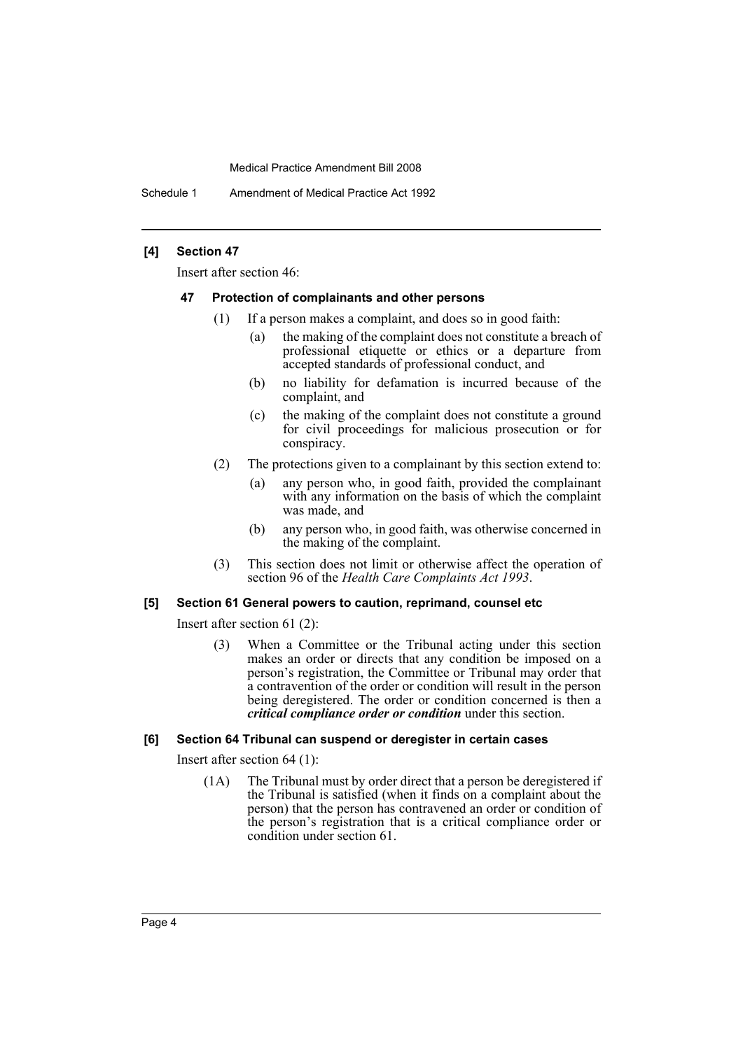Schedule 1 Amendment of Medical Practice Act 1992

### **[4] Section 47**

Insert after section 46:

### **47 Protection of complainants and other persons**

- (1) If a person makes a complaint, and does so in good faith:
	- (a) the making of the complaint does not constitute a breach of professional etiquette or ethics or a departure from accepted standards of professional conduct, and
	- (b) no liability for defamation is incurred because of the complaint, and
	- (c) the making of the complaint does not constitute a ground for civil proceedings for malicious prosecution or for conspiracy.
- (2) The protections given to a complainant by this section extend to:
	- (a) any person who, in good faith, provided the complainant with any information on the basis of which the complaint was made, and
	- (b) any person who, in good faith, was otherwise concerned in the making of the complaint.
- (3) This section does not limit or otherwise affect the operation of section 96 of the *Health Care Complaints Act 1993*.

### **[5] Section 61 General powers to caution, reprimand, counsel etc**

Insert after section 61 (2):

(3) When a Committee or the Tribunal acting under this section makes an order or directs that any condition be imposed on a person's registration, the Committee or Tribunal may order that a contravention of the order or condition will result in the person being deregistered. The order or condition concerned is then a *critical compliance order or condition* under this section.

### **[6] Section 64 Tribunal can suspend or deregister in certain cases**

Insert after section 64 (1):

(1A) The Tribunal must by order direct that a person be deregistered if the Tribunal is satisfied (when it finds on a complaint about the person) that the person has contravened an order or condition of the person's registration that is a critical compliance order or condition under section 61.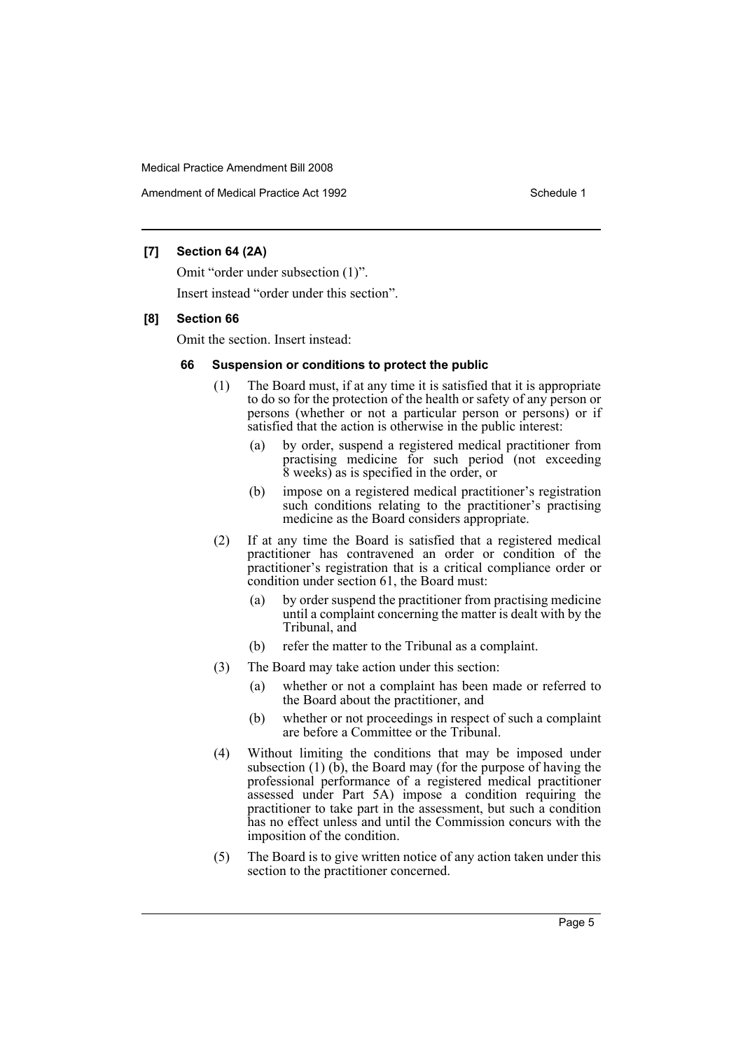Amendment of Medical Practice Act 1992 New York 1992

### **[7] Section 64 (2A)**

Omit "order under subsection (1)".

Insert instead "order under this section".

### **[8] Section 66**

Omit the section. Insert instead:

### **66 Suspension or conditions to protect the public**

- (1) The Board must, if at any time it is satisfied that it is appropriate to do so for the protection of the health or safety of any person or persons (whether or not a particular person or persons) or if satisfied that the action is otherwise in the public interest:
	- (a) by order, suspend a registered medical practitioner from practising medicine for such period (not exceeding 8 weeks) as is specified in the order, or
	- (b) impose on a registered medical practitioner's registration such conditions relating to the practitioner's practising medicine as the Board considers appropriate.
- (2) If at any time the Board is satisfied that a registered medical practitioner has contravened an order or condition of the practitioner's registration that is a critical compliance order or condition under section 61, the Board must:
	- (a) by order suspend the practitioner from practising medicine until a complaint concerning the matter is dealt with by the Tribunal, and
	- (b) refer the matter to the Tribunal as a complaint.
- (3) The Board may take action under this section:
	- (a) whether or not a complaint has been made or referred to the Board about the practitioner, and
	- (b) whether or not proceedings in respect of such a complaint are before a Committee or the Tribunal.
- (4) Without limiting the conditions that may be imposed under subsection  $(1)$   $(b)$ , the Board may (for the purpose of having the professional performance of a registered medical practitioner assessed under Part 5A) impose a condition requiring the practitioner to take part in the assessment, but such a condition has no effect unless and until the Commission concurs with the imposition of the condition.
- (5) The Board is to give written notice of any action taken under this section to the practitioner concerned.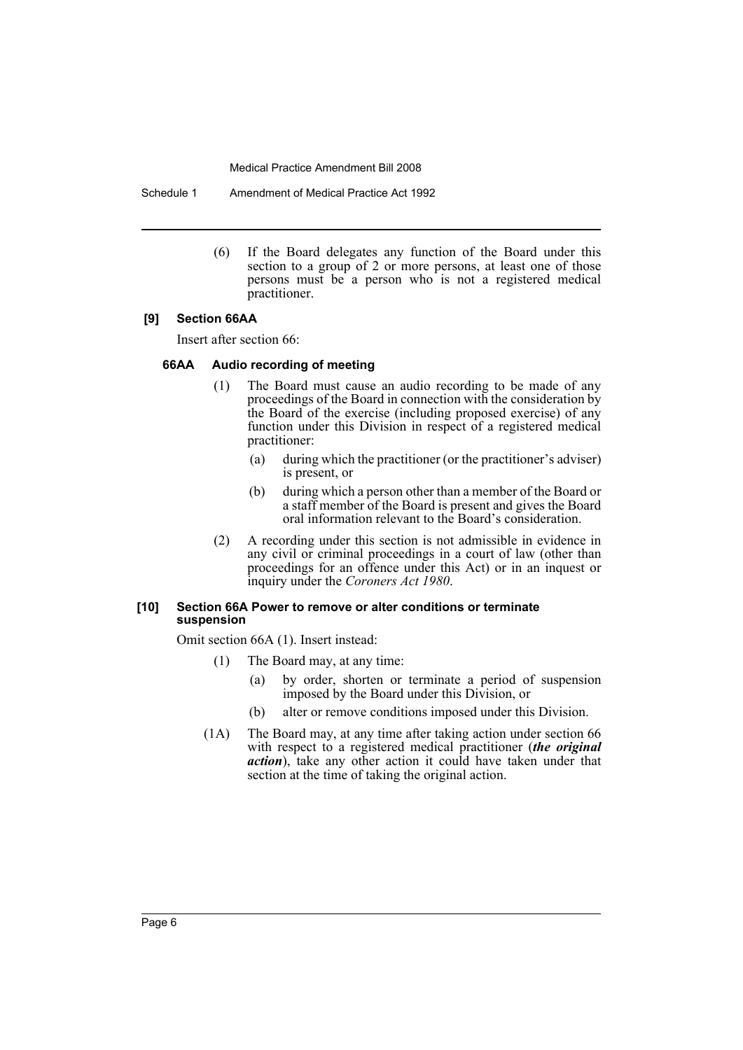Schedule 1 Amendment of Medical Practice Act 1992

(6) If the Board delegates any function of the Board under this section to a group of 2 or more persons, at least one of those persons must be a person who is not a registered medical practitioner.

### **[9] Section 66AA**

Insert after section 66:

### **66AA Audio recording of meeting**

- (1) The Board must cause an audio recording to be made of any proceedings of the Board in connection with the consideration by the Board of the exercise (including proposed exercise) of any function under this Division in respect of a registered medical practitioner:
	- (a) during which the practitioner (or the practitioner's adviser) is present, or
	- (b) during which a person other than a member of the Board or a staff member of the Board is present and gives the Board oral information relevant to the Board's consideration.
- (2) A recording under this section is not admissible in evidence in any civil or criminal proceedings in a court of law (other than proceedings for an offence under this Act) or in an inquest or inquiry under the *Coroners Act 1980*.

### **[10] Section 66A Power to remove or alter conditions or terminate suspension**

Omit section 66A (1). Insert instead:

- (1) The Board may, at any time:
	- (a) by order, shorten or terminate a period of suspension imposed by the Board under this Division, or
	- (b) alter or remove conditions imposed under this Division.
- (1A) The Board may, at any time after taking action under section 66 with respect to a registered medical practitioner (*the original action*), take any other action it could have taken under that section at the time of taking the original action.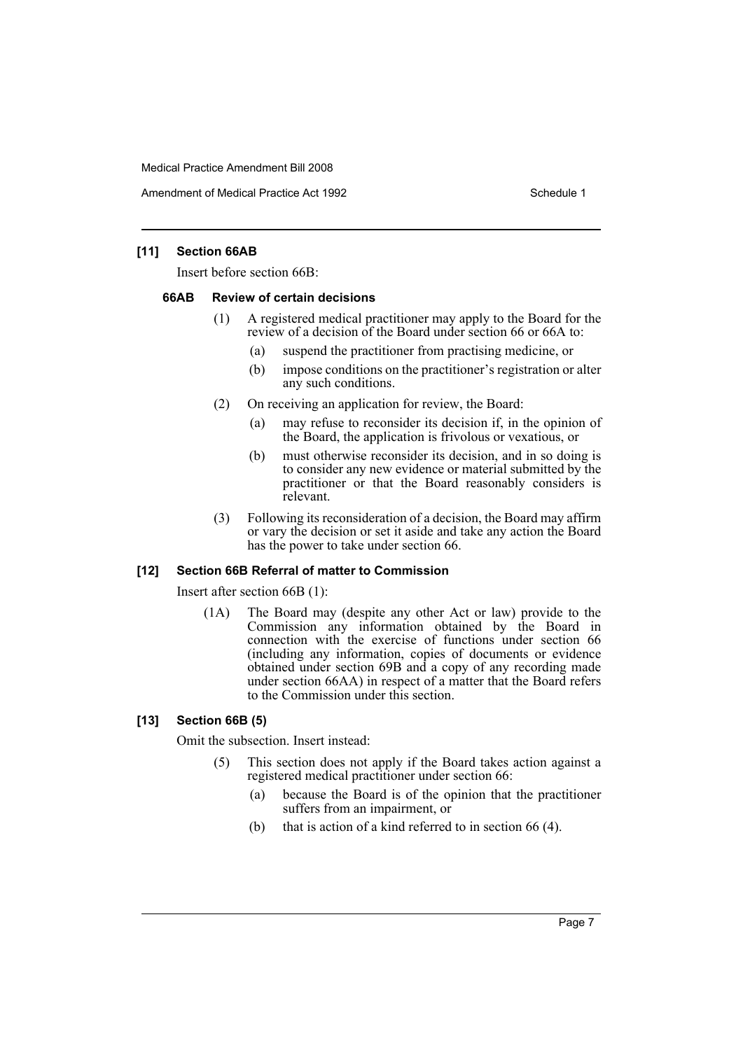Amendment of Medical Practice Act 1992 New York 1992

### **[11] Section 66AB**

Insert before section 66B:

### **66AB Review of certain decisions**

- (1) A registered medical practitioner may apply to the Board for the review of a decision of the Board under section 66 or 66A to:
	- (a) suspend the practitioner from practising medicine, or
	- (b) impose conditions on the practitioner's registration or alter any such conditions.
- (2) On receiving an application for review, the Board:
	- (a) may refuse to reconsider its decision if, in the opinion of the Board, the application is frivolous or vexatious, or
	- (b) must otherwise reconsider its decision, and in so doing is to consider any new evidence or material submitted by the practitioner or that the Board reasonably considers is relevant.
- (3) Following its reconsideration of a decision, the Board may affirm or vary the decision or set it aside and take any action the Board has the power to take under section 66.

### **[12] Section 66B Referral of matter to Commission**

Insert after section 66B (1):

(1A) The Board may (despite any other Act or law) provide to the Commission any information obtained by the Board in connection with the exercise of functions under section 66 (including any information, copies of documents or evidence obtained under section 69B and a copy of any recording made under section 66AA) in respect of a matter that the Board refers to the Commission under this section.

### **[13] Section 66B (5)**

Omit the subsection. Insert instead:

- (5) This section does not apply if the Board takes action against a registered medical practitioner under section 66:
	- (a) because the Board is of the opinion that the practitioner suffers from an impairment, or
	- (b) that is action of a kind referred to in section 66 (4).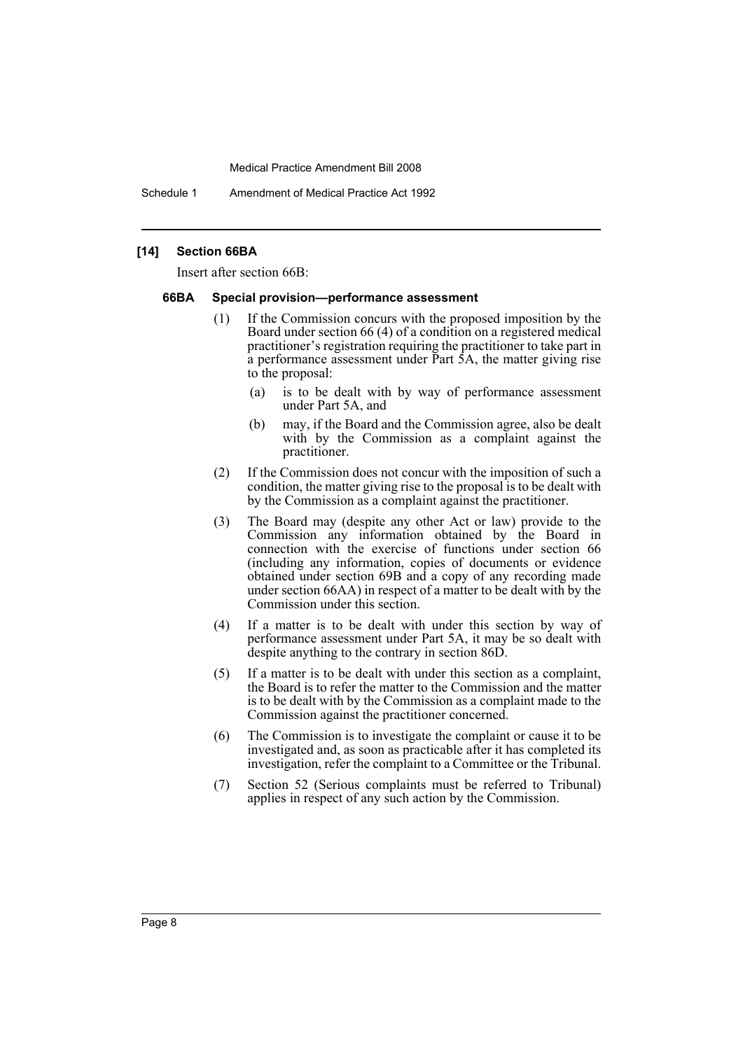Schedule 1 Amendment of Medical Practice Act 1992

### **[14] Section 66BA**

Insert after section 66B:

### **66BA Special provision—performance assessment**

- (1) If the Commission concurs with the proposed imposition by the Board under section 66 (4) of a condition on a registered medical practitioner's registration requiring the practitioner to take part in a performance assessment under Part 5A, the matter giving rise to the proposal:
	- (a) is to be dealt with by way of performance assessment under Part 5A, and
	- (b) may, if the Board and the Commission agree, also be dealt with by the Commission as a complaint against the practitioner.
- (2) If the Commission does not concur with the imposition of such a condition, the matter giving rise to the proposal is to be dealt with by the Commission as a complaint against the practitioner.
- (3) The Board may (despite any other Act or law) provide to the Commission any information obtained by the Board in connection with the exercise of functions under section 66 (including any information, copies of documents or evidence obtained under section 69B and a copy of any recording made under section 66AA) in respect of a matter to be dealt with by the Commission under this section.
- (4) If a matter is to be dealt with under this section by way of performance assessment under Part 5A, it may be so dealt with despite anything to the contrary in section 86D.
- (5) If a matter is to be dealt with under this section as a complaint, the Board is to refer the matter to the Commission and the matter is to be dealt with by the Commission as a complaint made to the Commission against the practitioner concerned.
- (6) The Commission is to investigate the complaint or cause it to be investigated and, as soon as practicable after it has completed its investigation, refer the complaint to a Committee or the Tribunal.
- (7) Section 52 (Serious complaints must be referred to Tribunal) applies in respect of any such action by the Commission.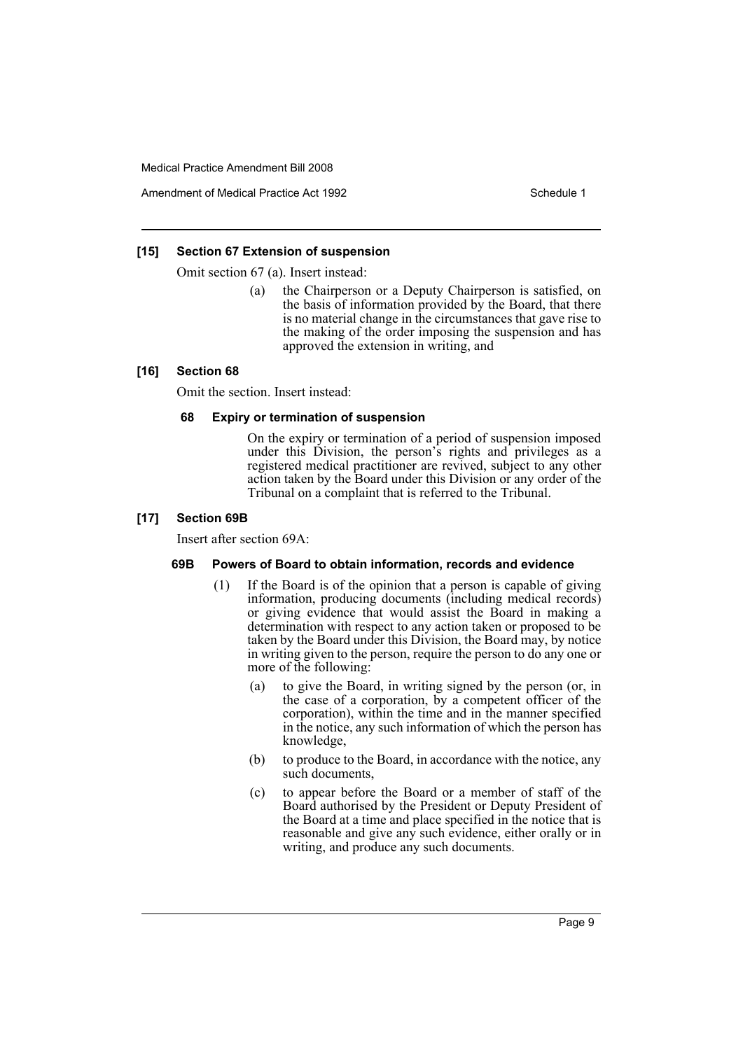Amendment of Medical Practice Act 1992 New York 1992

### **[15] Section 67 Extension of suspension**

Omit section 67 (a). Insert instead:

(a) the Chairperson or a Deputy Chairperson is satisfied, on the basis of information provided by the Board, that there is no material change in the circumstances that gave rise to the making of the order imposing the suspension and has approved the extension in writing, and

### **[16] Section 68**

Omit the section. Insert instead:

### **68 Expiry or termination of suspension**

On the expiry or termination of a period of suspension imposed under this Division, the person's rights and privileges as a registered medical practitioner are revived, subject to any other action taken by the Board under this Division or any order of the Tribunal on a complaint that is referred to the Tribunal.

### **[17] Section 69B**

Insert after section 69A:

### **69B Powers of Board to obtain information, records and evidence**

- (1) If the Board is of the opinion that a person is capable of giving information, producing documents (including medical records) or giving evidence that would assist the Board in making a determination with respect to any action taken or proposed to be taken by the Board under this Division, the Board may, by notice in writing given to the person, require the person to do any one or more of the following:
	- (a) to give the Board, in writing signed by the person (or, in the case of a corporation, by a competent officer of the corporation), within the time and in the manner specified in the notice, any such information of which the person has knowledge,
	- (b) to produce to the Board, in accordance with the notice, any such documents,
	- (c) to appear before the Board or a member of staff of the Board authorised by the President or Deputy President of the Board at a time and place specified in the notice that is reasonable and give any such evidence, either orally or in writing, and produce any such documents.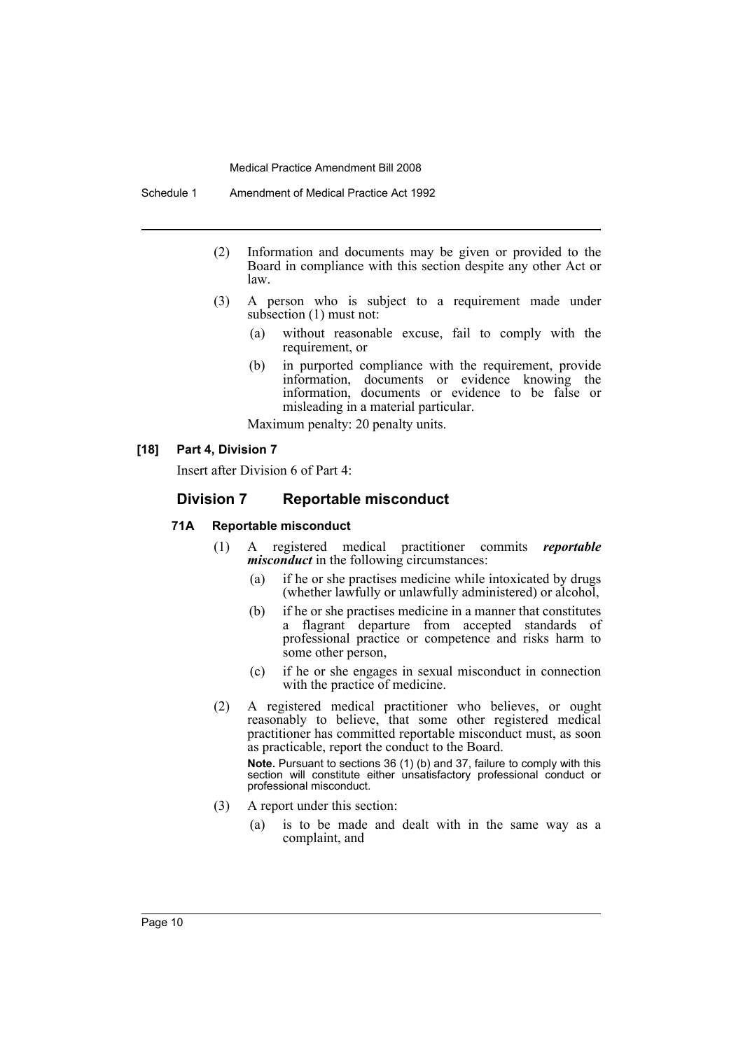- (2) Information and documents may be given or provided to the Board in compliance with this section despite any other Act or law.
- (3) A person who is subject to a requirement made under subsection (1) must not:
	- (a) without reasonable excuse, fail to comply with the requirement, or
	- (b) in purported compliance with the requirement, provide information, documents or evidence knowing the information, documents or evidence to be false or misleading in a material particular.

Maximum penalty: 20 penalty units.

### **[18] Part 4, Division 7**

Insert after Division 6 of Part 4:

### **Division 7 Reportable misconduct**

### **71A Reportable misconduct**

- (1) A registered medical practitioner commits *reportable misconduct* in the following circumstances:
	- (a) if he or she practises medicine while intoxicated by drugs (whether lawfully or unlawfully administered) or alcohol,
	- (b) if he or she practises medicine in a manner that constitutes a flagrant departure from accepted standards of professional practice or competence and risks harm to some other person,
	- (c) if he or she engages in sexual misconduct in connection with the practice of medicine.
- (2) A registered medical practitioner who believes, or ought reasonably to believe, that some other registered medical practitioner has committed reportable misconduct must, as soon as practicable, report the conduct to the Board.

**Note.** Pursuant to sections 36 (1) (b) and 37, failure to comply with this section will constitute either unsatisfactory professional conduct or professional misconduct.

- (3) A report under this section:
	- (a) is to be made and dealt with in the same way as a complaint, and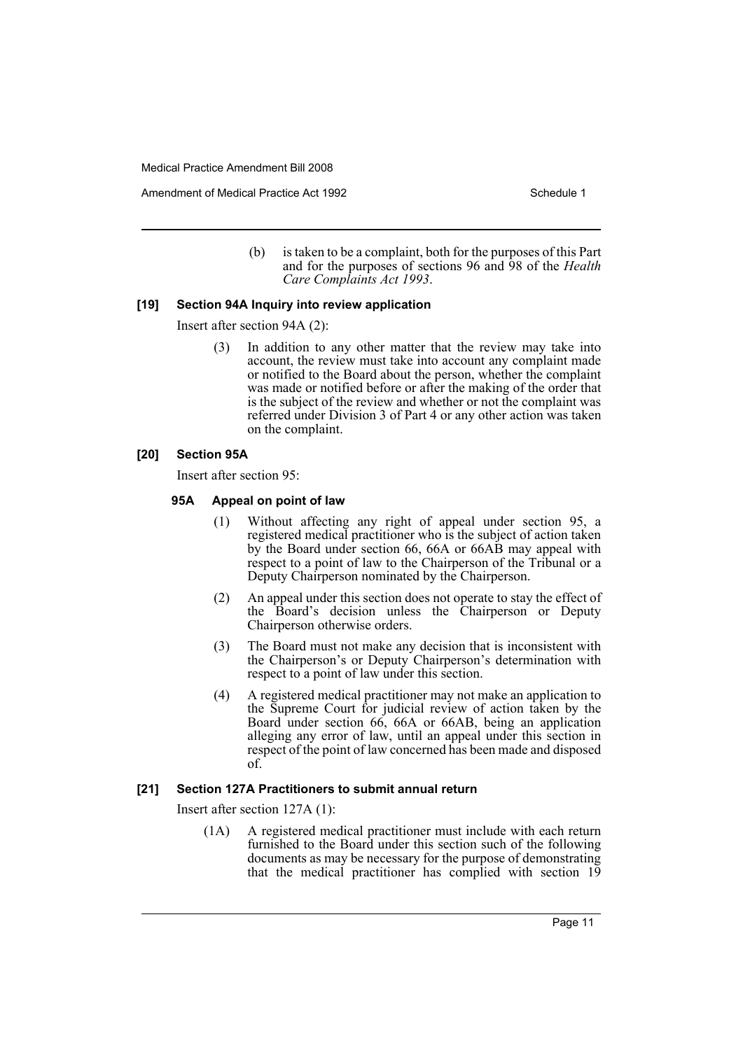Amendment of Medical Practice Act 1992 New York 1992

(b) is taken to be a complaint, both for the purposes of this Part and for the purposes of sections 96 and 98 of the *Health Care Complaints Act 1993*.

### **[19] Section 94A Inquiry into review application**

Insert after section 94A (2):

(3) In addition to any other matter that the review may take into account, the review must take into account any complaint made or notified to the Board about the person, whether the complaint was made or notified before or after the making of the order that is the subject of the review and whether or not the complaint was referred under Division 3 of Part 4 or any other action was taken on the complaint.

### **[20] Section 95A**

Insert after section 95:

### **95A Appeal on point of law**

- (1) Without affecting any right of appeal under section 95, a registered medical practitioner who is the subject of action taken by the Board under section 66, 66A or 66AB may appeal with respect to a point of law to the Chairperson of the Tribunal or a Deputy Chairperson nominated by the Chairperson.
- (2) An appeal under this section does not operate to stay the effect of the Board's decision unless the Chairperson or Deputy Chairperson otherwise orders.
- (3) The Board must not make any decision that is inconsistent with the Chairperson's or Deputy Chairperson's determination with respect to a point of law under this section.
- (4) A registered medical practitioner may not make an application to the Supreme Court for judicial review of action taken by the Board under section 66, 66A or 66AB, being an application alleging any error of law, until an appeal under this section in respect of the point of law concerned has been made and disposed of.

### **[21] Section 127A Practitioners to submit annual return**

Insert after section 127A (1):

(1A) A registered medical practitioner must include with each return furnished to the Board under this section such of the following documents as may be necessary for the purpose of demonstrating that the medical practitioner has complied with section 19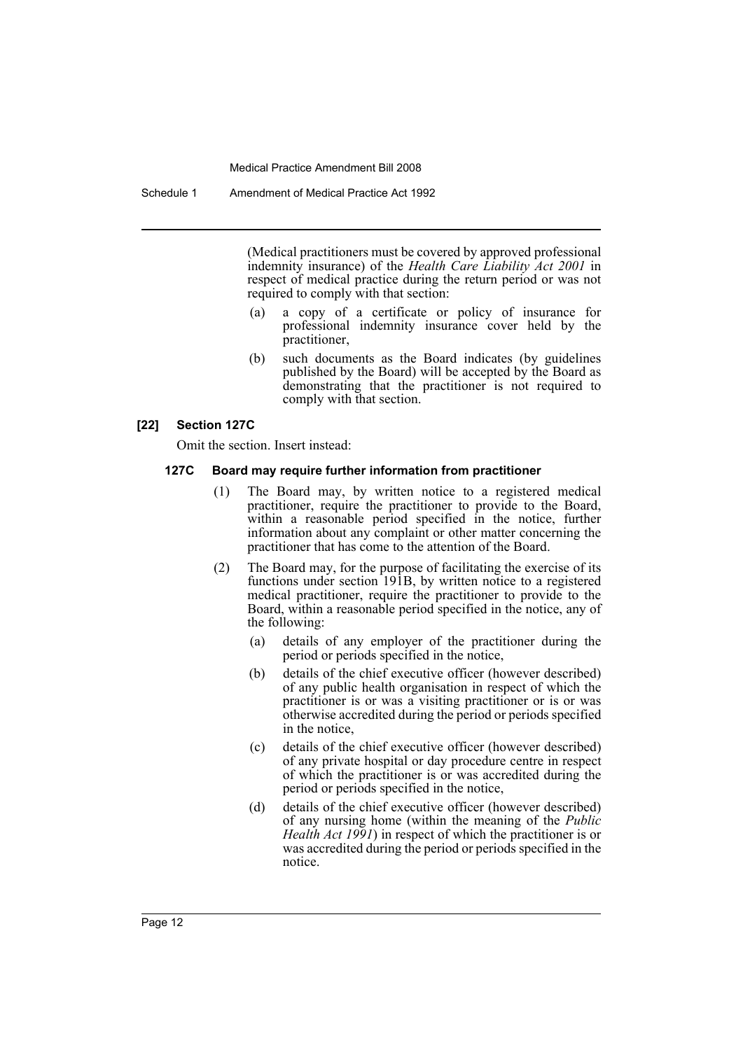(Medical practitioners must be covered by approved professional indemnity insurance) of the *Health Care Liability Act 2001* in respect of medical practice during the return period or was not required to comply with that section:

- (a) a copy of a certificate or policy of insurance for professional indemnity insurance cover held by the practitioner,
- (b) such documents as the Board indicates (by guidelines published by the Board) will be accepted by the Board as demonstrating that the practitioner is not required to comply with that section.

### **[22] Section 127C**

Omit the section. Insert instead:

### **127C Board may require further information from practitioner**

- (1) The Board may, by written notice to a registered medical practitioner, require the practitioner to provide to the Board, within a reasonable period specified in the notice, further information about any complaint or other matter concerning the practitioner that has come to the attention of the Board.
- (2) The Board may, for the purpose of facilitating the exercise of its functions under section 191B, by written notice to a registered medical practitioner, require the practitioner to provide to the Board, within a reasonable period specified in the notice, any of the following:
	- (a) details of any employer of the practitioner during the period or periods specified in the notice,
	- (b) details of the chief executive officer (however described) of any public health organisation in respect of which the practitioner is or was a visiting practitioner or is or was otherwise accredited during the period or periods specified in the notice,
	- (c) details of the chief executive officer (however described) of any private hospital or day procedure centre in respect of which the practitioner is or was accredited during the period or periods specified in the notice,
	- (d) details of the chief executive officer (however described) of any nursing home (within the meaning of the *Public Health Act 1991*) in respect of which the practitioner is or was accredited during the period or periods specified in the notice.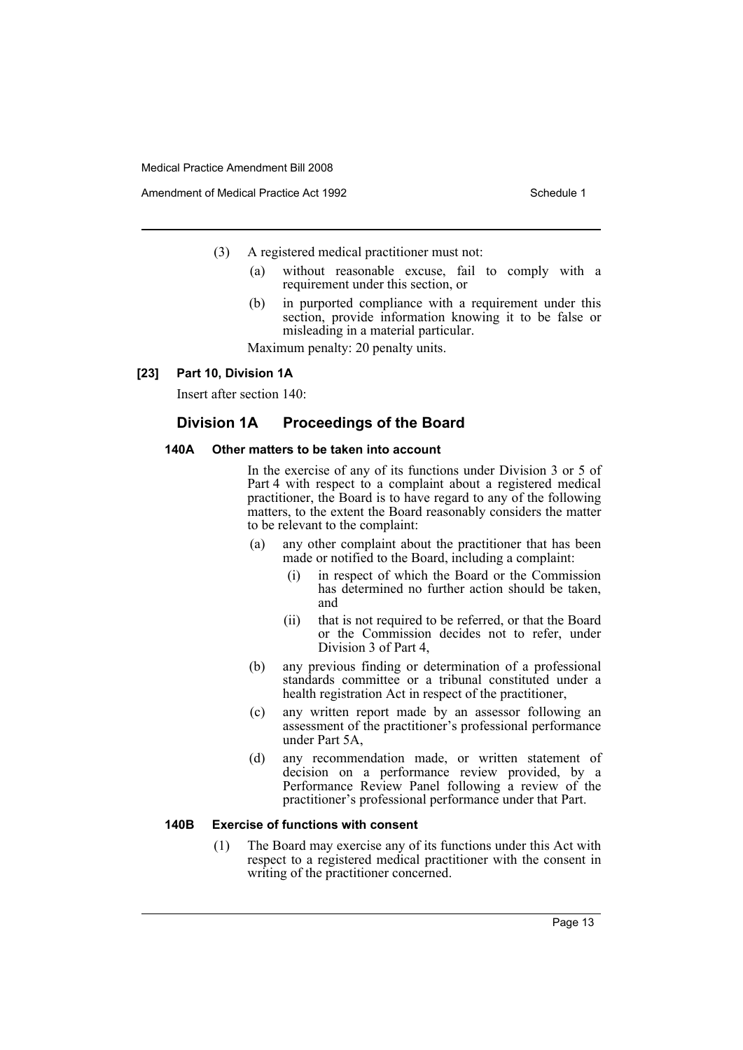- (3) A registered medical practitioner must not:
	- (a) without reasonable excuse, fail to comply with a requirement under this section, or
	- (b) in purported compliance with a requirement under this section, provide information knowing it to be false or misleading in a material particular.

Maximum penalty: 20 penalty units.

### **[23] Part 10, Division 1A**

Insert after section 140:

### **Division 1A Proceedings of the Board**

### **140A Other matters to be taken into account**

In the exercise of any of its functions under Division 3 or 5 of Part 4 with respect to a complaint about a registered medical practitioner, the Board is to have regard to any of the following matters, to the extent the Board reasonably considers the matter to be relevant to the complaint:

- (a) any other complaint about the practitioner that has been made or notified to the Board, including a complaint:
	- (i) in respect of which the Board or the Commission has determined no further action should be taken, and
	- (ii) that is not required to be referred, or that the Board or the Commission decides not to refer, under Division 3 of Part 4,
- (b) any previous finding or determination of a professional standards committee or a tribunal constituted under a health registration Act in respect of the practitioner,
- (c) any written report made by an assessor following an assessment of the practitioner's professional performance under Part 5A,
- (d) any recommendation made, or written statement of decision on a performance review provided, by a Performance Review Panel following a review of the practitioner's professional performance under that Part.

### **140B Exercise of functions with consent**

(1) The Board may exercise any of its functions under this Act with respect to a registered medical practitioner with the consent in writing of the practitioner concerned.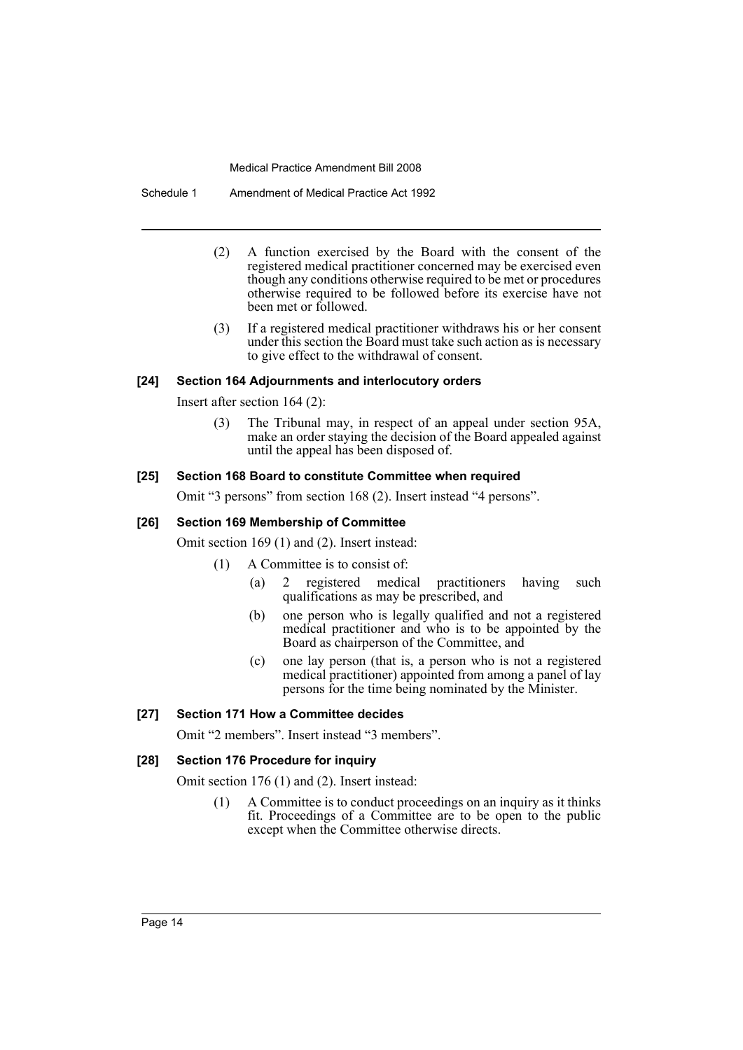Schedule 1 Amendment of Medical Practice Act 1992

- (2) A function exercised by the Board with the consent of the registered medical practitioner concerned may be exercised even though any conditions otherwise required to be met or procedures otherwise required to be followed before its exercise have not been met or followed.
- (3) If a registered medical practitioner withdraws his or her consent under this section the Board must take such action as is necessary to give effect to the withdrawal of consent.

### **[24] Section 164 Adjournments and interlocutory orders**

Insert after section 164 (2):

(3) The Tribunal may, in respect of an appeal under section 95A, make an order staying the decision of the Board appealed against until the appeal has been disposed of.

### **[25] Section 168 Board to constitute Committee when required**

Omit "3 persons" from section 168 (2). Insert instead "4 persons".

### **[26] Section 169 Membership of Committee**

Omit section 169 (1) and (2). Insert instead:

- (1) A Committee is to consist of:
	- (a) 2 registered medical practitioners having such qualifications as may be prescribed, and
	- (b) one person who is legally qualified and not a registered medical practitioner and who is to be appointed by the Board as chairperson of the Committee, and
	- (c) one lay person (that is, a person who is not a registered medical practitioner) appointed from among a panel of lay persons for the time being nominated by the Minister.

### **[27] Section 171 How a Committee decides**

Omit "2 members". Insert instead "3 members".

### **[28] Section 176 Procedure for inquiry**

Omit section 176 (1) and (2). Insert instead:

(1) A Committee is to conduct proceedings on an inquiry as it thinks fit. Proceedings of a Committee are to be open to the public except when the Committee otherwise directs.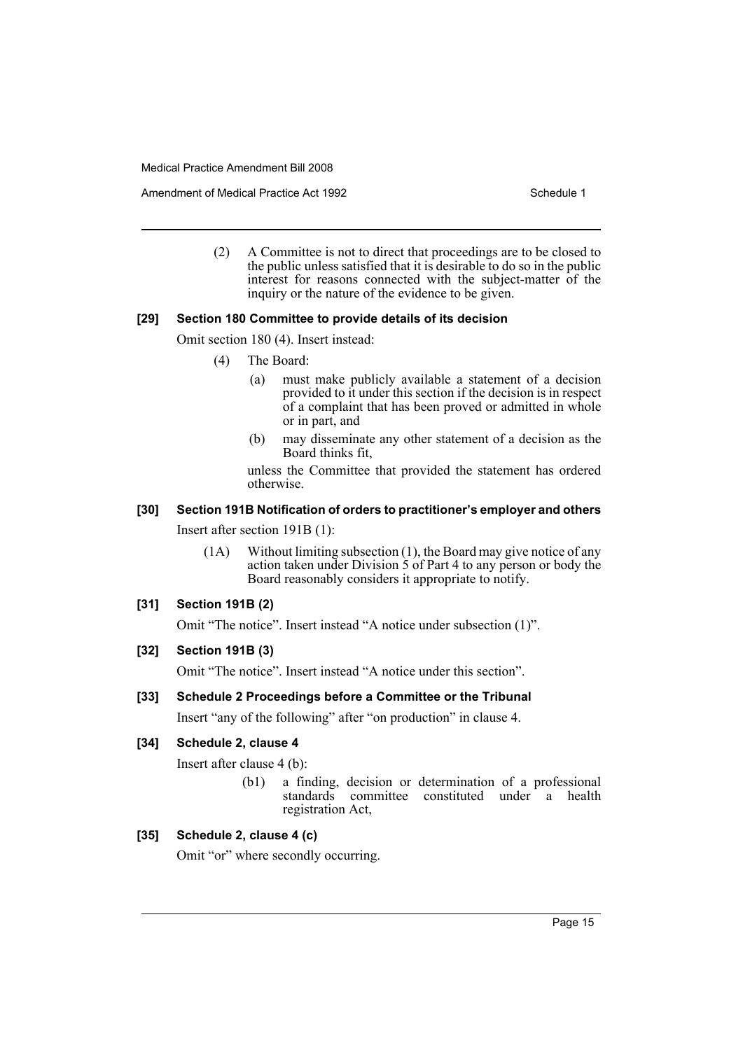Amendment of Medical Practice Act 1992 New York 1992

(2) A Committee is not to direct that proceedings are to be closed to the public unless satisfied that it is desirable to do so in the public interest for reasons connected with the subject-matter of the inquiry or the nature of the evidence to be given.

### **[29] Section 180 Committee to provide details of its decision**

Omit section 180 (4). Insert instead:

- (4) The Board:
	- (a) must make publicly available a statement of a decision provided to it under this section if the decision is in respect of a complaint that has been proved or admitted in whole or in part, and
	- (b) may disseminate any other statement of a decision as the Board thinks fit,

unless the Committee that provided the statement has ordered otherwise.

## **[30] Section 191B Notification of orders to practitioner's employer and others**

Insert after section 191B (1):

(1A) Without limiting subsection (1), the Board may give notice of any action taken under Division 5 of Part 4 to any person or body the Board reasonably considers it appropriate to notify.

### **[31] Section 191B (2)**

Omit "The notice". Insert instead "A notice under subsection (1)".

### **[32] Section 191B (3)**

Omit "The notice". Insert instead "A notice under this section".

### **[33] Schedule 2 Proceedings before a Committee or the Tribunal**

Insert "any of the following" after "on production" in clause 4.

### **[34] Schedule 2, clause 4**

Insert after clause 4 (b):

(b1) a finding, decision or determination of a professional standards committee constituted under a health registration Act,

### **[35] Schedule 2, clause 4 (c)**

Omit "or" where secondly occurring.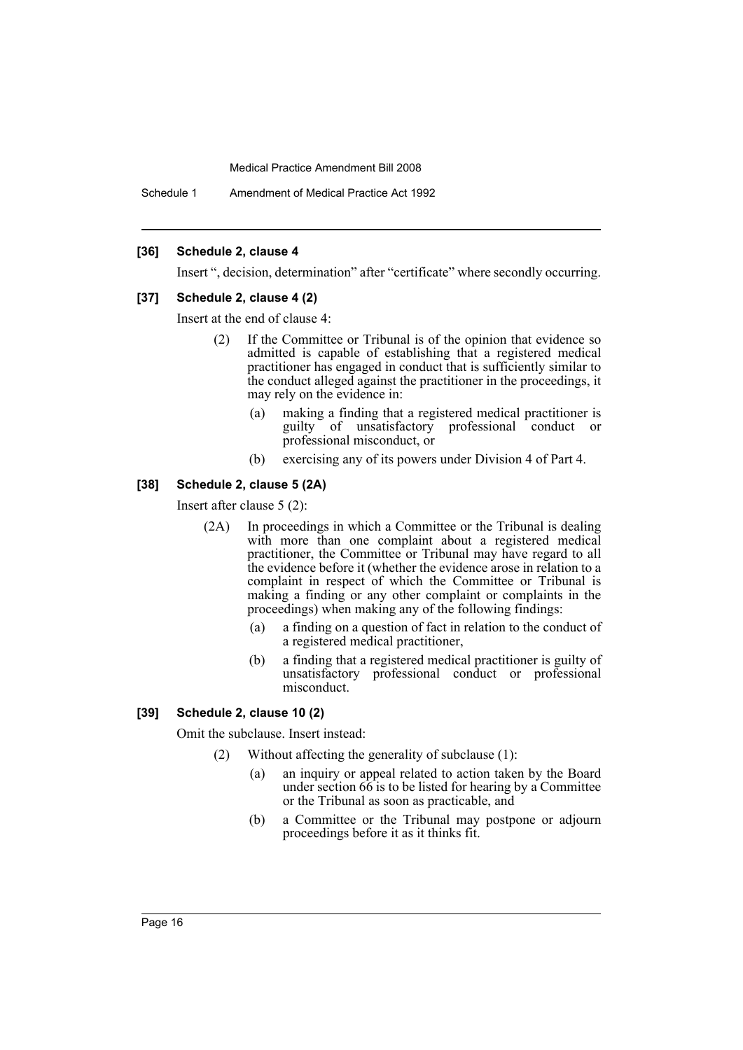Schedule 1 Amendment of Medical Practice Act 1992

### **[36] Schedule 2, clause 4**

Insert ", decision, determination" after "certificate" where secondly occurring.

### **[37] Schedule 2, clause 4 (2)**

Insert at the end of clause 4:

- (2) If the Committee or Tribunal is of the opinion that evidence so admitted is capable of establishing that a registered medical practitioner has engaged in conduct that is sufficiently similar to the conduct alleged against the practitioner in the proceedings, it may rely on the evidence in:
	- (a) making a finding that a registered medical practitioner is guilty of unsatisfactory professional conduct or professional misconduct, or
	- (b) exercising any of its powers under Division 4 of Part 4.

### **[38] Schedule 2, clause 5 (2A)**

Insert after clause 5 (2):

- (2A) In proceedings in which a Committee or the Tribunal is dealing with more than one complaint about a registered medical practitioner, the Committee or Tribunal may have regard to all the evidence before it (whether the evidence arose in relation to a complaint in respect of which the Committee or Tribunal is making a finding or any other complaint or complaints in the proceedings) when making any of the following findings:
	- (a) a finding on a question of fact in relation to the conduct of a registered medical practitioner,
	- (b) a finding that a registered medical practitioner is guilty of unsatisfactory professional conduct or professional misconduct.

### **[39] Schedule 2, clause 10 (2)**

Omit the subclause. Insert instead:

- (2) Without affecting the generality of subclause (1):
	- (a) an inquiry or appeal related to action taken by the Board under section 66 is to be listed for hearing by a Committee or the Tribunal as soon as practicable, and
	- (b) a Committee or the Tribunal may postpone or adjourn proceedings before it as it thinks fit.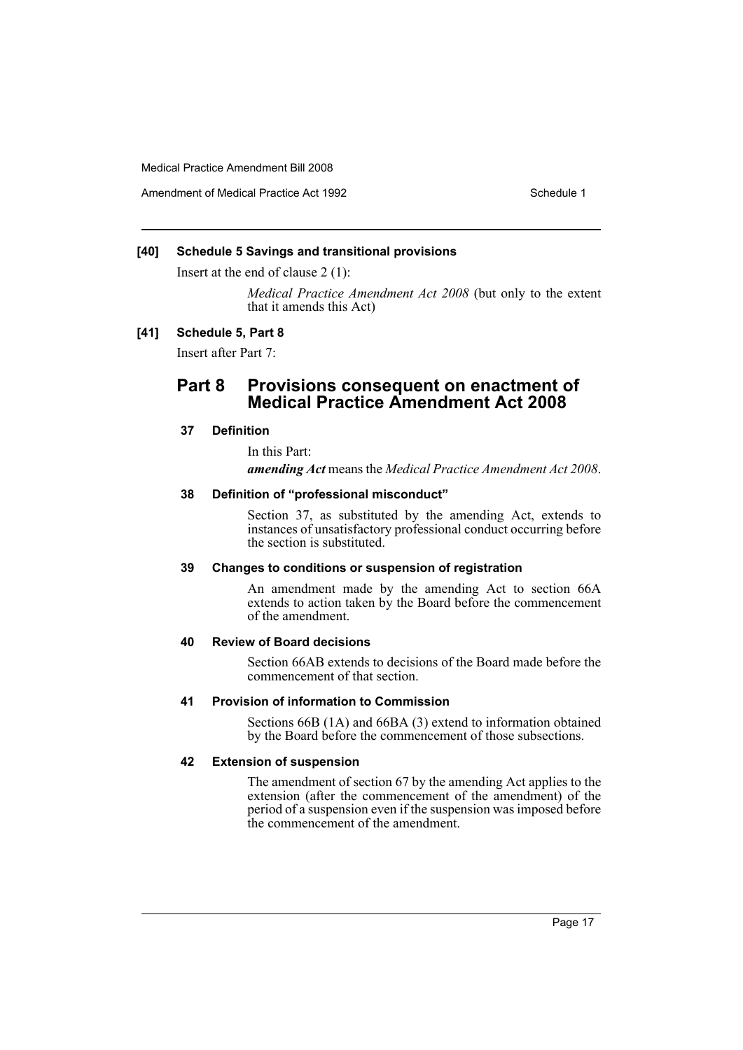Amendment of Medical Practice Act 1992 New York 1992

### **[40] Schedule 5 Savings and transitional provisions**

Insert at the end of clause 2 (1):

*Medical Practice Amendment Act 2008* (but only to the extent that it amends this Act)

### **[41] Schedule 5, Part 8**

Insert after Part 7:

### **Part 8 Provisions consequent on enactment of Medical Practice Amendment Act 2008**

### **37 Definition**

In this Part:

*amending Act* means the *Medical Practice Amendment Act 2008*.

### **38 Definition of "professional misconduct"**

Section 37, as substituted by the amending Act, extends to instances of unsatisfactory professional conduct occurring before the section is substituted.

### **39 Changes to conditions or suspension of registration**

An amendment made by the amending Act to section 66A extends to action taken by the Board before the commencement of the amendment.

### **40 Review of Board decisions**

Section 66AB extends to decisions of the Board made before the commencement of that section.

### **41 Provision of information to Commission**

Sections 66B (1A) and 66BA (3) extend to information obtained by the Board before the commencement of those subsections.

### **42 Extension of suspension**

The amendment of section 67 by the amending Act applies to the extension (after the commencement of the amendment) of the period of a suspension even if the suspension was imposed before the commencement of the amendment.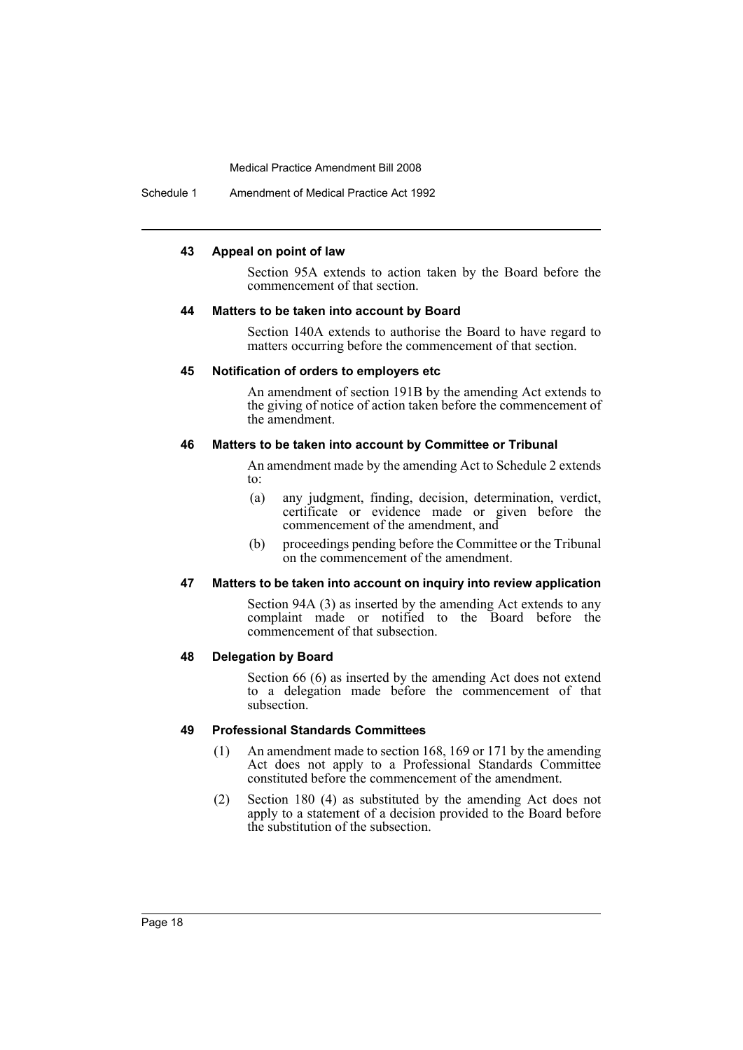Schedule 1 Amendment of Medical Practice Act 1992

### **43 Appeal on point of law**

Section 95A extends to action taken by the Board before the commencement of that section.

### **44 Matters to be taken into account by Board**

Section 140A extends to authorise the Board to have regard to matters occurring before the commencement of that section.

### **45 Notification of orders to employers etc**

An amendment of section 191B by the amending Act extends to the giving of notice of action taken before the commencement of the amendment.

### **46 Matters to be taken into account by Committee or Tribunal**

An amendment made by the amending Act to Schedule 2 extends to:

- (a) any judgment, finding, decision, determination, verdict, certificate or evidence made or given before the commencement of the amendment, and
- (b) proceedings pending before the Committee or the Tribunal on the commencement of the amendment.

### **47 Matters to be taken into account on inquiry into review application**

Section 94A (3) as inserted by the amending Act extends to any complaint made or notified to the Board before the commencement of that subsection.

### **48 Delegation by Board**

Section 66 (6) as inserted by the amending Act does not extend to a delegation made before the commencement of that subsection.

### **49 Professional Standards Committees**

- (1) An amendment made to section 168, 169 or 171 by the amending Act does not apply to a Professional Standards Committee constituted before the commencement of the amendment.
- (2) Section 180 (4) as substituted by the amending Act does not apply to a statement of a decision provided to the Board before the substitution of the subsection.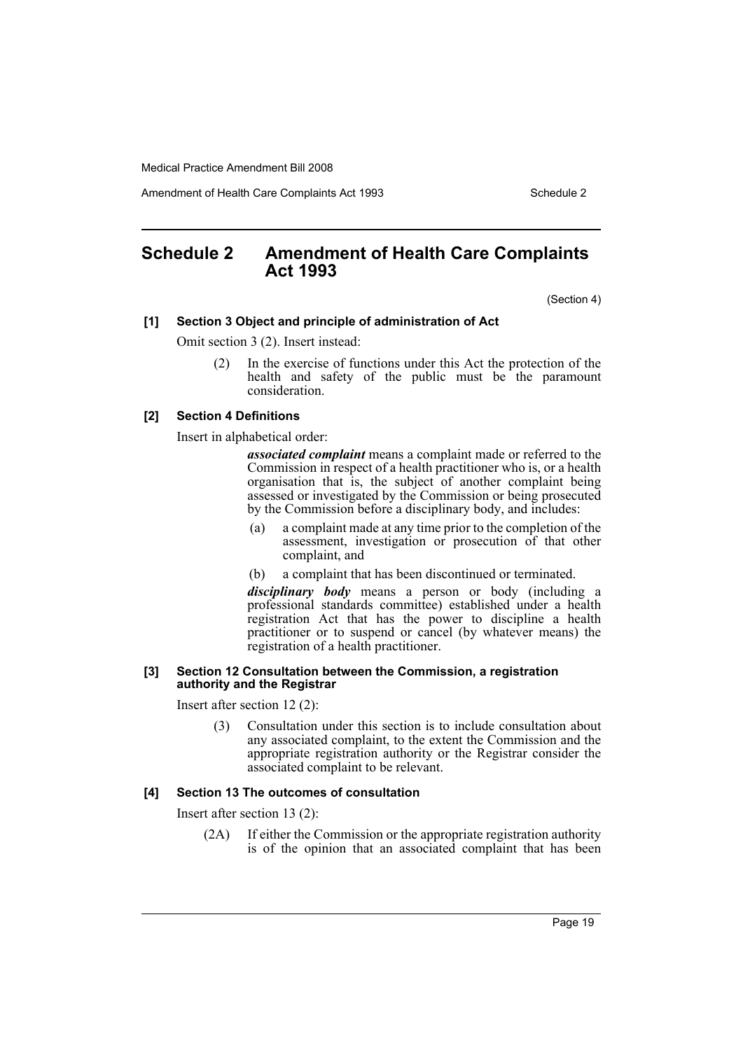Amendment of Health Care Complaints Act 1993 Schedule 2

### <span id="page-19-0"></span>**Schedule 2 Amendment of Health Care Complaints Act 1993**

(Section 4)

### **[1] Section 3 Object and principle of administration of Act**

Omit section 3 (2). Insert instead:

(2) In the exercise of functions under this Act the protection of the health and safety of the public must be the paramount consideration.

### **[2] Section 4 Definitions**

Insert in alphabetical order:

*associated complaint* means a complaint made or referred to the Commission in respect of a health practitioner who is, or a health organisation that is, the subject of another complaint being assessed or investigated by the Commission or being prosecuted by the Commission before a disciplinary body, and includes:

- (a) a complaint made at any time prior to the completion of the assessment, investigation or prosecution of that other complaint, and
- (b) a complaint that has been discontinued or terminated.

*disciplinary body* means a person or body (including a professional standards committee) established under a health registration Act that has the power to discipline a health practitioner or to suspend or cancel (by whatever means) the registration of a health practitioner.

### **[3] Section 12 Consultation between the Commission, a registration authority and the Registrar**

Insert after section 12 (2):

(3) Consultation under this section is to include consultation about any associated complaint, to the extent the Commission and the appropriate registration authority or the Registrar consider the associated complaint to be relevant.

### **[4] Section 13 The outcomes of consultation**

Insert after section 13 (2):

(2A) If either the Commission or the appropriate registration authority is of the opinion that an associated complaint that has been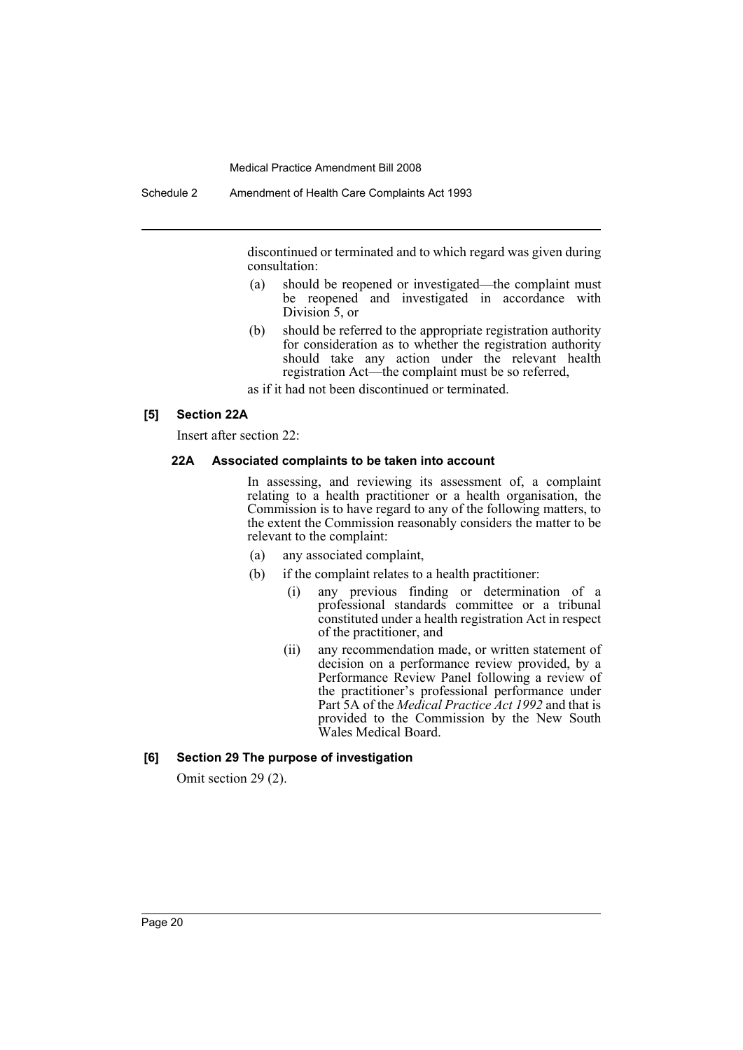discontinued or terminated and to which regard was given during consultation:

- (a) should be reopened or investigated—the complaint must be reopened and investigated in accordance with Division 5, or
- (b) should be referred to the appropriate registration authority for consideration as to whether the registration authority should take any action under the relevant health registration Act—the complaint must be so referred,

as if it had not been discontinued or terminated.

### **[5] Section 22A**

Insert after section 22:

### **22A Associated complaints to be taken into account**

In assessing, and reviewing its assessment of, a complaint relating to a health practitioner or a health organisation, the Commission is to have regard to any of the following matters, to the extent the Commission reasonably considers the matter to be relevant to the complaint:

- (a) any associated complaint,
- (b) if the complaint relates to a health practitioner:
	- (i) any previous finding or determination of a professional standards committee or a tribunal constituted under a health registration Act in respect of the practitioner, and
	- (ii) any recommendation made, or written statement of decision on a performance review provided, by a Performance Review Panel following a review of the practitioner's professional performance under Part 5A of the *Medical Practice Act 1992* and that is provided to the Commission by the New South Wales Medical Board.

### **[6] Section 29 The purpose of investigation**

Omit section 29 (2).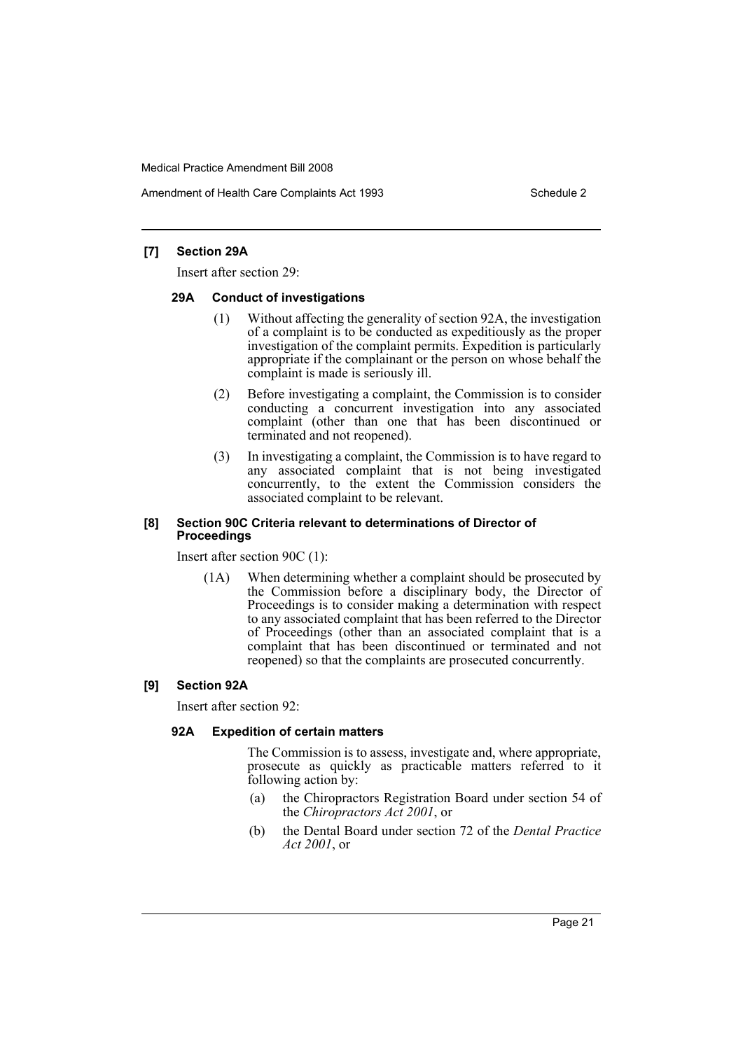Amendment of Health Care Complaints Act 1993 Schedule 2

### **[7] Section 29A**

Insert after section 29:

### **29A Conduct of investigations**

- (1) Without affecting the generality of section 92A, the investigation of a complaint is to be conducted as expeditiously as the proper investigation of the complaint permits. Expedition is particularly appropriate if the complainant or the person on whose behalf the complaint is made is seriously ill.
- (2) Before investigating a complaint, the Commission is to consider conducting a concurrent investigation into any associated complaint (other than one that has been discontinued or terminated and not reopened).
- (3) In investigating a complaint, the Commission is to have regard to any associated complaint that is not being investigated concurrently, to the extent the Commission considers the associated complaint to be relevant.

### **[8] Section 90C Criteria relevant to determinations of Director of Proceedings**

Insert after section 90C (1):

(1A) When determining whether a complaint should be prosecuted by the Commission before a disciplinary body, the Director of Proceedings is to consider making a determination with respect to any associated complaint that has been referred to the Director of Proceedings (other than an associated complaint that is a complaint that has been discontinued or terminated and not reopened) so that the complaints are prosecuted concurrently.

### **[9] Section 92A**

Insert after section 92:

### **92A Expedition of certain matters**

The Commission is to assess, investigate and, where appropriate, prosecute as quickly as practicable matters referred to it following action by:

- (a) the Chiropractors Registration Board under section 54 of the *Chiropractors Act 2001*, or
- (b) the Dental Board under section 72 of the *Dental Practice Act 2001*, or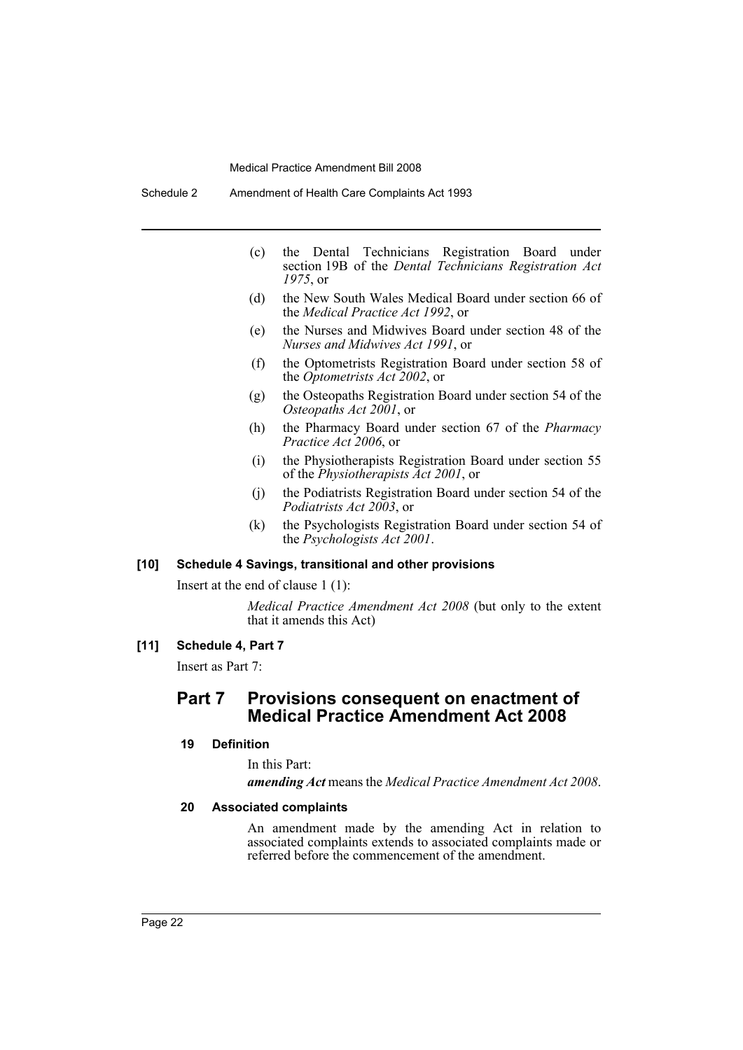- (c) the Dental Technicians Registration Board under section 19B of the *Dental Technicians Registration Act 1975*, or
- (d) the New South Wales Medical Board under section 66 of the *Medical Practice Act 1992*, or
- (e) the Nurses and Midwives Board under section 48 of the *Nurses and Midwives Act 1991*, or
- (f) the Optometrists Registration Board under section 58 of the *Optometrists Act 2002*, or
- (g) the Osteopaths Registration Board under section 54 of the *Osteopaths Act 2001*, or
- (h) the Pharmacy Board under section 67 of the *Pharmacy Practice Act 2006*, or
- (i) the Physiotherapists Registration Board under section 55 of the *Physiotherapists Act 2001*, or
- (j) the Podiatrists Registration Board under section 54 of the *Podiatrists Act 2003*, or
- (k) the Psychologists Registration Board under section 54 of the *Psychologists Act 2001*.

### **[10] Schedule 4 Savings, transitional and other provisions**

Insert at the end of clause 1 (1):

*Medical Practice Amendment Act 2008* (but only to the extent that it amends this Act)

### **[11] Schedule 4, Part 7**

Insert as Part 7:

### **Part 7 Provisions consequent on enactment of Medical Practice Amendment Act 2008**

### **19 Definition**

#### In this Part:

*amending Act* means the *Medical Practice Amendment Act 2008*.

### **20 Associated complaints**

An amendment made by the amending Act in relation to associated complaints extends to associated complaints made or referred before the commencement of the amendment.